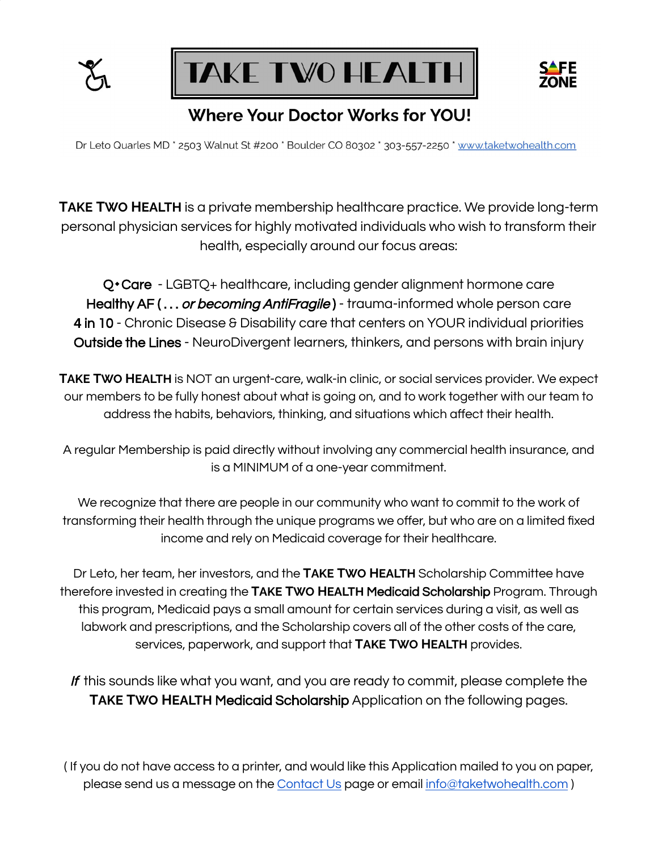



# **Where Your Doctor Works for YOU!**

Dr Leto Quarles MD \* 2503 Walnut St #200 \* Boulder CO 80302 \* 303-557-2250 \* www.taketwohealth.com

**TAKE TWO HEALTH** is a private membership healthcare practice. We provide long-term personal physician services for highly motivated individuals who wish to transform their health, especially around our focus areas:

Q<sup>\*</sup>Care - LGBTQ+ healthcare, including gender alignment hormone care Healthy AF (... or becoming AntiFragile) - trauma-informed whole person care 4 in 10 - Chronic Disease & Disability care that centers on YOUR individual priorities Outside the Lines - NeuroDivergent learners, thinkers, and persons with brain injury

**TAKE TWO HEALTH** is NOT an urgent-care, walk-in clinic, or social services provider. We expect our members to be fully honest about what is going on, and to work together with our team to address the habits, behaviors, thinking, and situations which affect their health.

A regular Membership is paid directly without involving any commercial health insurance, and is a MINIMUM of a one-year commitment.

We recognize that there are people in our community who want to commit to the work of transforming their health through the unique programs we offer, but who are on a limited fixed income and rely on Medicaid coverage for their healthcare.

Dr Leto, her team, her investors, and the **TAKE TWO HEALTH** Scholarship Committee have therefore invested in creating the **TAKE TWO HEALTH** Medicaid Scholarship Program. Through this program, Medicaid pays a small amount for certain services during a visit, as well as labwork and prescriptions, and the Scholarship covers all of the other costs of the care, services, paperwork, and support that **TAKE TWO HEALTH** provides.

If this sounds like what you want, and you are ready to commit, please complete the **TAKE TWO HEALTH** Medicaid Scholarship Application on the following pages.

( If you do not have access to a printer, and would like this Application mailed to you on paper, please send us a message on the [Contact](https://www.taketwohealth.com/contact) Us page or email [info@taketwohealth.com](mailto:info@taketwohealth.com) )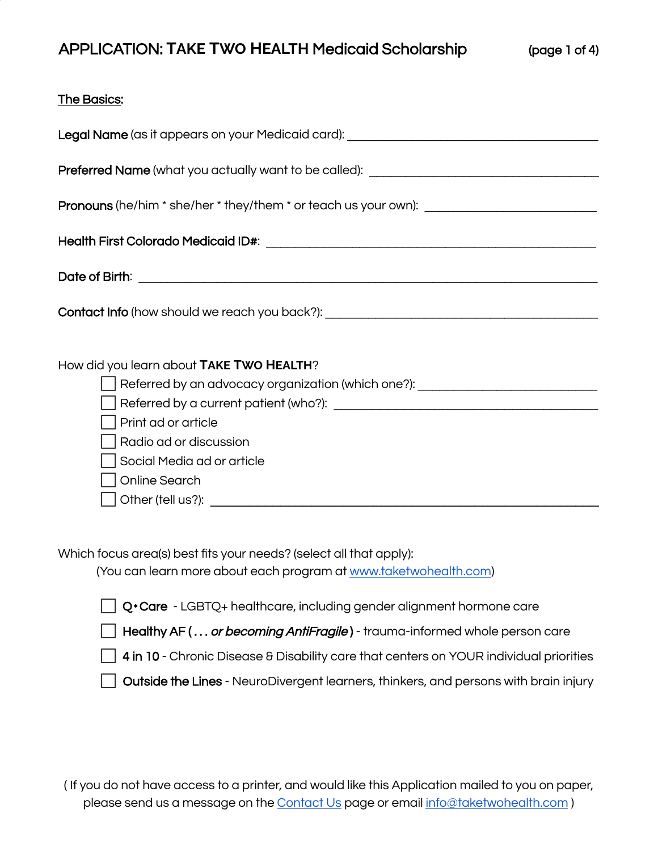#### The Basics:

Which focus area(s) best fits your needs? (select all that apply):

(You can learn more about each program at [www.taketwohealth.com\)](http://www.taketwohealth.com/)

|  |  | Q•Care - LGBTQ+ healthcare, including gender alignment hormone care |
|--|--|---------------------------------------------------------------------|
|  |  |                                                                     |

□ Healthy AF (... or becoming AntiFragile) - trauma-informed whole person care

 $\Box$  4 in 10 - Chronic Disease & Disability care that centers on YOUR individual priorities

Outside the Lines - NeuroDivergent learners, thinkers, and persons with brain injury

( If you do not have access to a printer, and would like this Application mailed to you on paper, please send us a message on the [Contact](https://www.taketwohealth.com/contact) Us page or email [info@taketwohealth.com](mailto:info@taketwohealth.com))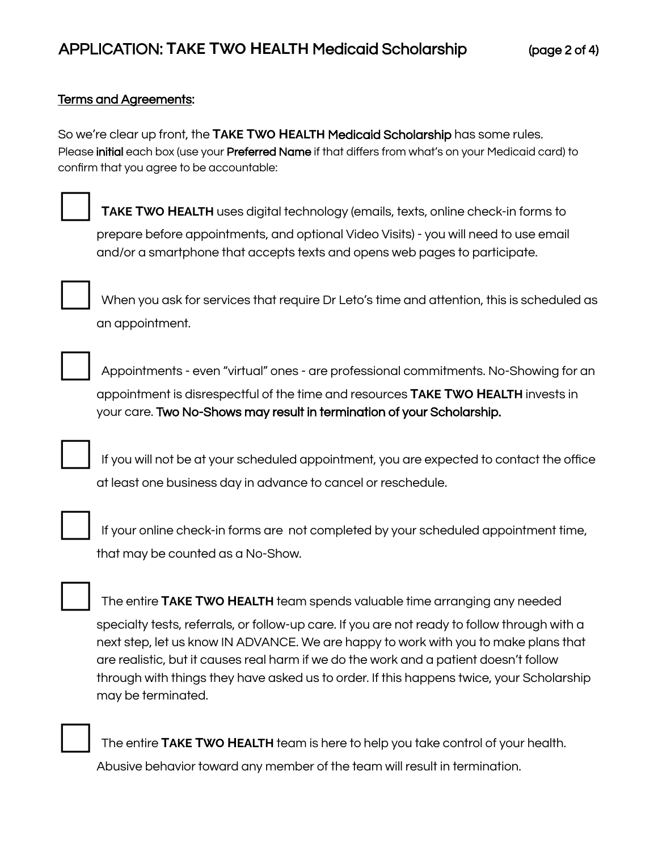### Terms and Agreements:

So we're clear up front, the **TAKE TWO HEALTH** Medicaid Scholarship has some rules. Please initial each box (use your Preferred Name if that differs from what's on your Medicaid card) to confirm that you agree to be accountable:

⬜ **<sup>T</sup>AKE <sup>T</sup>WO <sup>H</sup>EALTH** uses digital technology (emails, texts, online check-in forms to prepare before appointments, and optional Video Visits) - you will need to use email and/or a smartphone that accepts texts and opens web pages to participate.



When you ask for services that require Dr Leto's time and attention, this is scheduled as an appointment.



⬜ Appointments - even "virtual" ones - are professional commitments. No-Showing for an appointment is disrespectful of the time and resources **TAKE TWO HEALTH** invests in your care. Two No-Shows may result in termination of your Scholarship.

⬜ If you will not be at your scheduled appointment, you are expected to contact the office at least one business day in advance to cancel or reschedule.



If your online check-in forms are not completed by your scheduled appointment time, that may be counted as a No-Show.



⬜ The entire **<sup>T</sup>AKE <sup>T</sup>WO <sup>H</sup>EALTH** team spends valuable time arranging any needed specialty tests, referrals, or follow-up care. If you are not ready to follow through with a next step, let us know IN ADVANCE. We are happy to work with you to make plans that are realistic, but it causes real harm if we do the work and a patient doesn't follow through with things they have asked us to order. If this happens twice, your Scholarship may be terminated.

⬜ The entire **<sup>T</sup>AKE <sup>T</sup>WO <sup>H</sup>EALTH** team is here to help you take control of your health. Abusive behavior toward any member of the team will result in termination.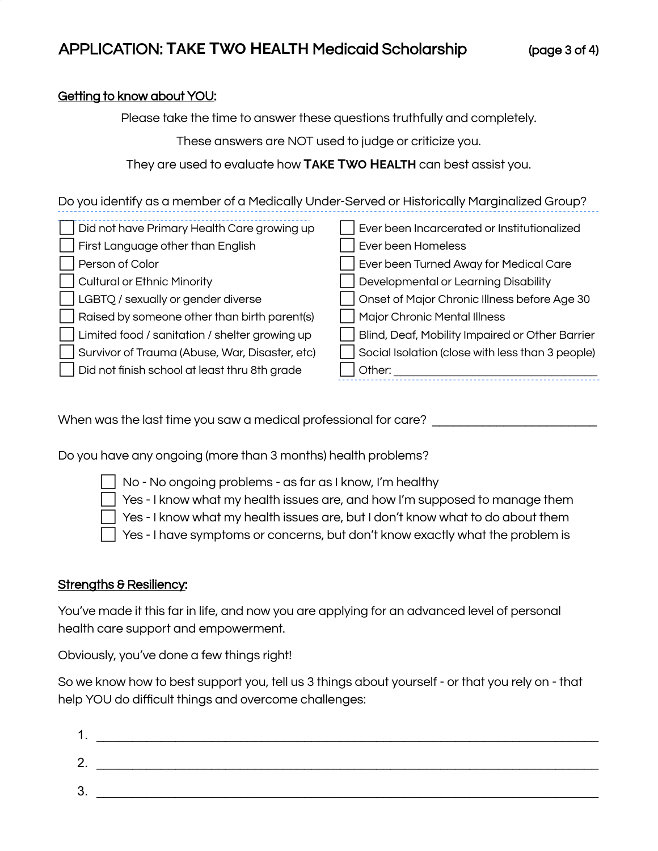## Getting to know about YOU:

Please take the time to answer these questions truthfully and completely.

These answers are NOT used to judge or criticize you.

They are used to evaluate how **TAKE TWO HEALTH** can best assist you.

Do you identify as a member of a Medically Under-Served or Historically Marginalized Group?

| Did not have Primary Health Care growing up    | Ever been Incarcerated or Institutionalized      |
|------------------------------------------------|--------------------------------------------------|
| First Language other than English              | Ever been Homeless                               |
| Person of Color                                | Ever been Turned Away for Medical Care           |
| <b>Cultural or Ethnic Minority</b>             | Developmental or Learning Disability             |
| LGBTQ / sexually or gender diverse             | Onset of Major Chronic Illness before Age 30     |
| Raised by someone other than birth parent(s)   | Major Chronic Mental Illness                     |
| Limited food / sanitation / shelter growing up | Blind, Deaf, Mobility Impaired or Other Barrier  |
| Survivor of Trauma (Abuse, War, Disaster, etc) | Social Isolation (close with less than 3 people) |
| Did not finish school at least thru 8th grade  | Other:                                           |

When was the last time you saw a medical professional for care?

Do you have any ongoing (more than 3 months) health problems?



- ⬜ No No ongoing problems as far as I know, I'm healthy
- $\Box$  Yes I know what my health issues are, and how I'm supposed to manage them
- ⬜ Yes I know what my health issues are, but I don't know what to do about them
- ⬜ Yes I have symptoms or concerns, but don't know exactly what the problem is

## Strengths & Resiliency:

You've made it this far in life, and now you are applying for an advanced level of personal health care support and empowerment.

Obviously, you've done a few things right!

So we know how to best support you, tell us 3 things about yourself - or that you rely on - that help YOU do difficult things and overcome challenges:

| . .     |  |
|---------|--|
| ⌒<br>Ź. |  |
| າ<br>J. |  |